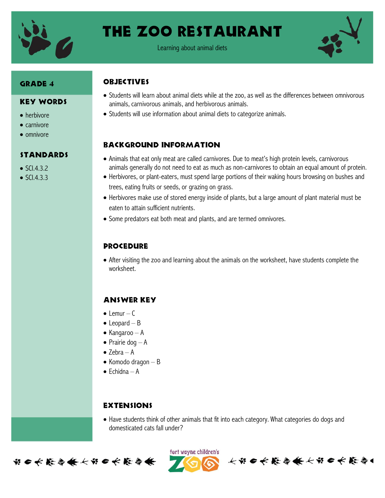

# The Zoo Restaurant

Learning about animal diets



#### Grade 4

#### Key Words

- herbivore
- $\bullet$  carnivore
- $\bullet$  omnivore

#### Standards

- $\bullet$  SCI432
- $\bullet$  SCI.4.3.3

#### **OBJECTIVES**

- Students will learn about animal diets while at the zoo, as well as the differences between omnivorous animals, carnivorous animals, and herbivorous animals.
- Students will use information about animal diets to categorize animals.

### Background information

- Animals that eat only meat are called carnivores. Due to meat's high protein levels, carnivorous animals generally do not need to eat as much as non-carnivores to obtain an equal amount of protein.
- Herbivores, or plant-eaters, must spend large portions of their waking hours browsing on bushes and trees, eating fruits or seeds, or grazing on grass.
- Herbivores make use of stored energy inside of plants, but a large amount of plant material must be eaten to attain sufficient nutrients.
- Some predators eat both meat and plants, and are termed omnivores.

### **PROCEDURE**

 After visiting the zoo and learning about the animals on the worksheet, have students complete the worksheet.

## Answer key

- $\bullet$  Lemur C
- $\bullet$  Leopard B
- $\bullet$  Kangaroo A
- $\bullet$  Prairie dog  $-A$
- $\bullet$  Zebra A
- $\bullet$  Komodo dragon  $-$  B
- $\bullet$  Fchidna A

#### **EXTENSIONS**

 Have students think of other animals that fit into each category. What categories do dogs and domesticated cats fall under?

长节日长能与长长节日长能与

ført wayne children's